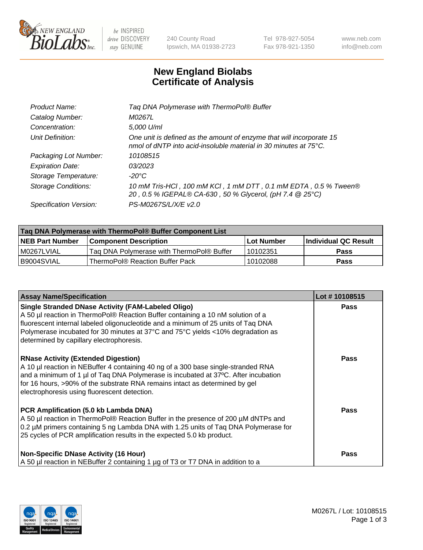

 $be$  INSPIRED drive DISCOVERY stay GENUINE

240 County Road Ipswich, MA 01938-2723 Tel 978-927-5054 Fax 978-921-1350 www.neb.com info@neb.com

## **New England Biolabs Certificate of Analysis**

| Tag DNA Polymerase with ThermoPol® Buffer                                                                                                |
|------------------------------------------------------------------------------------------------------------------------------------------|
| M0267L                                                                                                                                   |
| 5,000 U/ml                                                                                                                               |
| One unit is defined as the amount of enzyme that will incorporate 15<br>nmol of dNTP into acid-insoluble material in 30 minutes at 75°C. |
| 10108515                                                                                                                                 |
| 03/2023                                                                                                                                  |
| $-20^{\circ}$ C                                                                                                                          |
| 10 mM Tris-HCl, 100 mM KCl, 1 mM DTT, 0.1 mM EDTA, 0.5 % Tween®<br>20, 0.5 % IGEPAL® CA-630, 50 % Glycerol, (pH 7.4 @ 25°C)              |
| PS-M0267S/L/X/E v2.0                                                                                                                     |
|                                                                                                                                          |

| Tag DNA Polymerase with ThermoPol® Buffer Component List |                                           |                   |                      |  |
|----------------------------------------------------------|-------------------------------------------|-------------------|----------------------|--|
| <b>NEB Part Number</b>                                   | Component Description_                    | <b>Lot Number</b> | Individual QC Result |  |
| I M0267LVIAL                                             | Tag DNA Polymerase with ThermoPol® Buffer | 10102351          | Pass                 |  |
| B9004SVIAL                                               | ThermoPol® Reaction Buffer Pack           | 10102088          | Pass                 |  |

| <b>Assay Name/Specification</b>                                                                                                                                                                                                                                                                                                                                  | Lot #10108515 |
|------------------------------------------------------------------------------------------------------------------------------------------------------------------------------------------------------------------------------------------------------------------------------------------------------------------------------------------------------------------|---------------|
| <b>Single Stranded DNase Activity (FAM-Labeled Oligo)</b><br>A 50 µl reaction in ThermoPol® Reaction Buffer containing a 10 nM solution of a<br>fluorescent internal labeled oligonucleotide and a minimum of 25 units of Taq DNA<br>Polymerase incubated for 30 minutes at 37°C and 75°C yields <10% degradation as<br>determined by capillary electrophoresis. | <b>Pass</b>   |
| <b>RNase Activity (Extended Digestion)</b><br>A 10 µl reaction in NEBuffer 4 containing 40 ng of a 300 base single-stranded RNA<br>and a minimum of 1 µl of Taq DNA Polymerase is incubated at 37°C. After incubation<br>for 16 hours, >90% of the substrate RNA remains intact as determined by gel<br>electrophoresis using fluorescent detection.             | <b>Pass</b>   |
| PCR Amplification (5.0 kb Lambda DNA)<br>A 50 µl reaction in ThermoPol® Reaction Buffer in the presence of 200 µM dNTPs and<br>0.2 µM primers containing 5 ng Lambda DNA with 1.25 units of Taq DNA Polymerase for<br>25 cycles of PCR amplification results in the expected 5.0 kb product.                                                                     | Pass          |
| <b>Non-Specific DNase Activity (16 Hour)</b><br>A 50 µl reaction in NEBuffer 2 containing 1 µg of T3 or T7 DNA in addition to a                                                                                                                                                                                                                                  | <b>Pass</b>   |

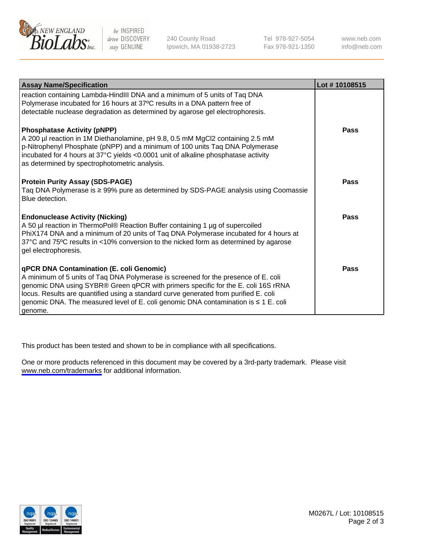

be INSPIRED drive DISCOVERY stay GENUINE

240 County Road Ipswich, MA 01938-2723 Tel 978-927-5054 Fax 978-921-1350

www.neb.com info@neb.com

| <b>Assay Name/Specification</b>                                                                                                                                                                                                                                                                                                                                                                               | Lot #10108515 |
|---------------------------------------------------------------------------------------------------------------------------------------------------------------------------------------------------------------------------------------------------------------------------------------------------------------------------------------------------------------------------------------------------------------|---------------|
| reaction containing Lambda-HindIII DNA and a minimum of 5 units of Taq DNA<br>Polymerase incubated for 16 hours at 37°C results in a DNA pattern free of<br>detectable nuclease degradation as determined by agarose gel electrophoresis.                                                                                                                                                                     |               |
| <b>Phosphatase Activity (pNPP)</b><br>A 200 µl reaction in 1M Diethanolamine, pH 9.8, 0.5 mM MgCl2 containing 2.5 mM<br>p-Nitrophenyl Phosphate (pNPP) and a minimum of 100 units Taq DNA Polymerase<br>incubated for 4 hours at 37°C yields <0.0001 unit of alkaline phosphatase activity<br>as determined by spectrophotometric analysis.                                                                   | Pass          |
| <b>Protein Purity Assay (SDS-PAGE)</b><br>Taq DNA Polymerase is ≥ 99% pure as determined by SDS-PAGE analysis using Coomassie<br>Blue detection.                                                                                                                                                                                                                                                              | <b>Pass</b>   |
| <b>Endonuclease Activity (Nicking)</b><br>A 50 µl reaction in ThermoPol® Reaction Buffer containing 1 µg of supercoiled<br>PhiX174 DNA and a minimum of 20 units of Taq DNA Polymerase incubated for 4 hours at<br>37°C and 75°C results in <10% conversion to the nicked form as determined by agarose<br>gel electrophoresis.                                                                               | <b>Pass</b>   |
| qPCR DNA Contamination (E. coli Genomic)<br>A minimum of 5 units of Taq DNA Polymerase is screened for the presence of E. coli<br>genomic DNA using SYBR® Green qPCR with primers specific for the E. coli 16S rRNA<br>locus. Results are quantified using a standard curve generated from purified E. coli<br>genomic DNA. The measured level of E. coli genomic DNA contamination is ≤ 1 E. coli<br>genome. | Pass          |

This product has been tested and shown to be in compliance with all specifications.

One or more products referenced in this document may be covered by a 3rd-party trademark. Please visit <www.neb.com/trademarks>for additional information.